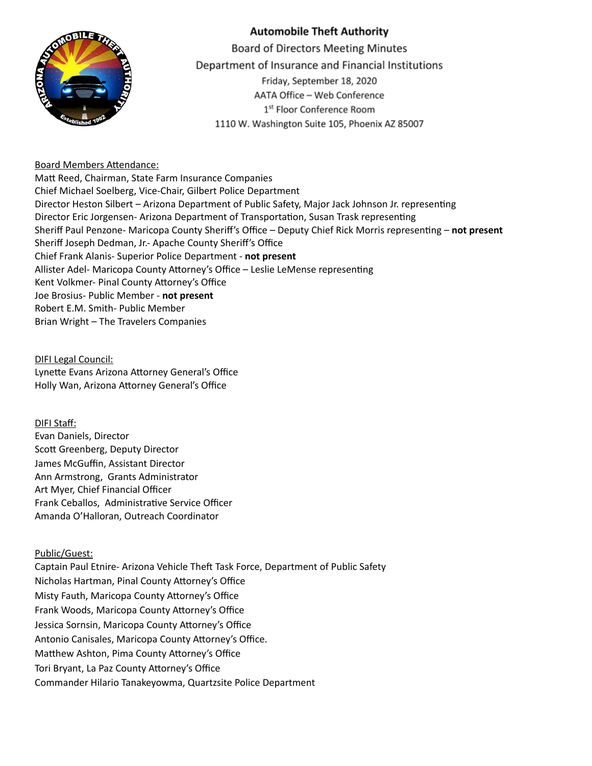

## **Automobile Theft Authority**

**Board of Directors Meeting Minutes** Department of Insurance and Financial Institutions Friday, September 18, 2020 AATA Office - Web Conference 1<sup>st</sup> Floor Conference Room 1110 W. Washington Suite 105, Phoenix AZ 85007

#### Board Members Attendance:

Matt Reed, Chairman, State Farm Insurance Companies Chief Michael Soelberg, Vice-Chair, Gilbert Police Department Director Heston Silbert – Arizona Department of Public Safety, Major Jack Johnson Jr. representing Director Eric Jorgensen- Arizona Department of Transportation, Susan Trask representing Sheriff Paul Penzone- Maricopa County Sheriff's Office – Deputy Chief Rick Morris representing – not present Sheriff Joseph Dedman, Jr.- Apache County Sheriff's Office Chief Frank Alanis- Superior Police Department - **not present** Allister Adel- Maricopa County Attorney's Office – Leslie LeMense representing Kent Volkmer- Pinal County Attorney's Office Joe Brosius- Public Member - **not present** Robert E.M. Smith- Public Member Brian Wright – The Travelers Companies

DIFI Legal Council: Lynette Evans Arizona Attorney General's Office Holly Wan, Arizona Attorney General's Office

# DIFI Staff:

Evan Daniels, Director Scott Greenberg, Deputy Director James McGuffin, Assistant Director Ann Armstrong, Grants Administrator Art Myer, Chief Financial Officer Frank Ceballos, Administrative Service Officer Amanda O'Halloran, Outreach Coordinator

### Public/Guest:

Captain Paul Etnire- Arizona Vehicle Theft Task Force, Department of Public Safety Nicholas Hartman, Pinal County Attorney's Office Misty Fauth, Maricopa County Attorney's Office Frank Woods, Maricopa County Attorney's Office Jessica Sornsin, Maricopa County Attorney's Office Antonio Canisales, Maricopa County Attorney's Office. Matthew Ashton, Pima County Attorney's Office Tori Bryant, La Paz County Attorney's Office Commander Hilario Tanakeyowma, Quartzsite Police Department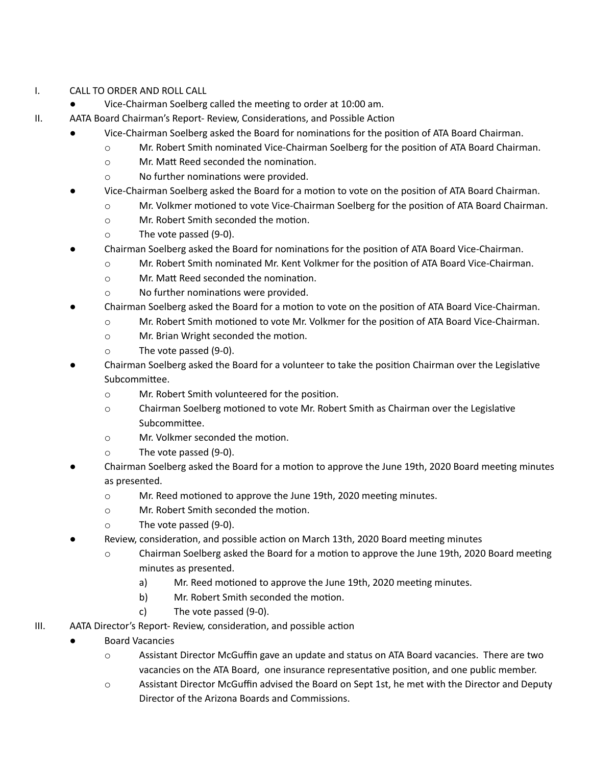### I. CALL TO ORDER AND ROLL CALL

- Vice-Chairman Soelberg called the meeting to order at 10:00 am.
- II. AATA Board Chairman's Report- Review, Considerations, and Possible Action
	- Vice-Chairman Soelberg asked the Board for nominations for the position of ATA Board Chairman.
		- o Mr. Robert Smith nominated Vice-Chairman Soelberg for the position of ATA Board Chairman.
		- o Mr. Matt Reed seconded the nomination.
		- $\circ$  No further nominations were provided.
	- Vice-Chairman Soelberg asked the Board for a motion to vote on the position of ATA Board Chairman.
		- $\circ$  Mr. Volkmer motioned to vote Vice-Chairman Soelberg for the position of ATA Board Chairman.
			- o Mr. Robert Smith seconded the motion.
			- o The vote passed (9-0).
	- Chairman Soelberg asked the Board for nominations for the position of ATA Board Vice-Chairman.
		- o Mr. Robert Smith nominated Mr. Kent Volkmer for the position of ATA Board Vice-Chairman.
		- o Mr. Matt Reed seconded the nomination.
		- $\circ$  No further nominations were provided.
	- Chairman Soelberg asked the Board for a motion to vote on the position of ATA Board Vice-Chairman.
		- $\circ$  Mr. Robert Smith motioned to vote Mr. Volkmer for the position of ATA Board Vice-Chairman.
		- o Mr. Brian Wright seconded the motion.
		- o The vote passed (9-0).
	- Chairman Soelberg asked the Board for a volunteer to take the position Chairman over the Legislative Subcommittee.
		- o Mr. Robert Smith volunteered for the position.
		- $\circ$  Chairman Soelberg motioned to vote Mr. Robert Smith as Chairman over the Legislative Subcommittee.
		- $\circ$  Mr. Volkmer seconded the motion.
		- o The vote passed (9-0).
	- Chairman Soelberg asked the Board for a motion to approve the June 19th, 2020 Board meeting minutes as presented.
		- $\circ$  Mr. Reed motioned to approve the June 19th, 2020 meeting minutes.
		- o Mr. Robert Smith seconded the motion.
		- o The vote passed (9-0).
		- Review, consideration, and possible action on March 13th, 2020 Board meeting minutes
			- $\circ$  Chairman Soelberg asked the Board for a motion to approve the June 19th, 2020 Board meeting minutes as presented.
				- a) Mr. Reed motioned to approve the June 19th, 2020 meeting minutes.
				- b) Mr. Robert Smith seconded the motion.
				- c) The vote passed (9-0).
- III. AATA Director's Report- Review, consideration, and possible action
	- **Board Vacancies** 
		- o Assistant Director McGuffin gave an update and status on ATA Board vacancies. There are two vacancies on the ATA Board, one insurance representative position, and one public member.
		- o Assistant Director McGuffin advised the Board on Sept 1st, he met with the Director and Deputy Director of the Arizona Boards and Commissions.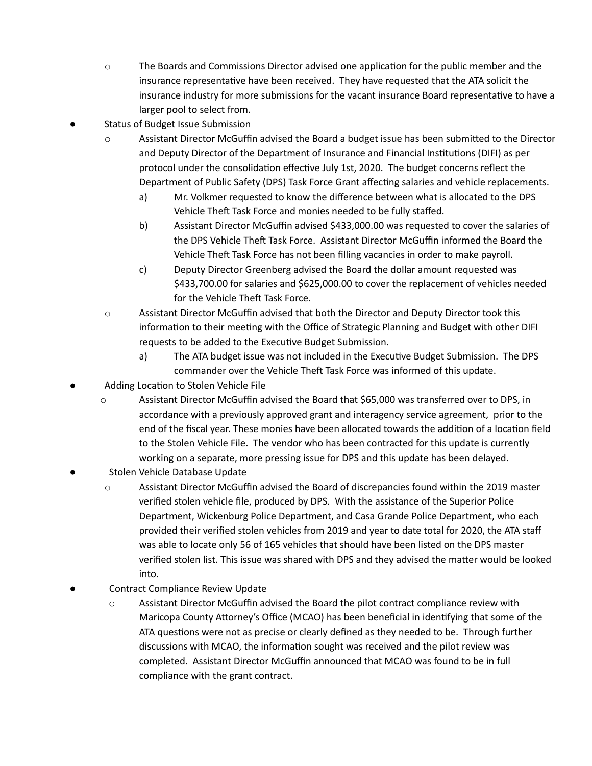- $\circ$  The Boards and Commissions Director advised one application for the public member and the insurance representative have been received. They have requested that the ATA solicit the insurance industry for more submissions for the vacant insurance Board representative to have a larger pool to select from.
- Status of Budget Issue Submission
	- $\circ$  Assistant Director McGuffin advised the Board a budget issue has been submitted to the Director and Deputy Director of the Department of Insurance and Financial Institutions (DIFI) as per protocol under the consolidation effective July 1st, 2020. The budget concerns reflect the Department of Public Safety (DPS) Task Force Grant affecting salaries and vehicle replacements.
		- a) Mr. Volkmer requested to know the difference between what is allocated to the DPS Vehicle Theft Task Force and monies needed to be fully staffed.
		- b) Assistant Director McGuffin advised \$433,000.00 was requested to cover the salaries of the DPS Vehicle Theft Task Force. Assistant Director McGuffin informed the Board the Vehicle Theft Task Force has not been filling vacancies in order to make payroll.
		- c) Deputy Director Greenberg advised the Board the dollar amount requested was \$433,700.00 for salaries and \$625,000.00 to cover the replacement of vehicles needed for the Vehicle Theft Task Force.
	- o Assistant Director McGuffin advised that both the Director and Deputy Director took this information to their meeting with the Office of Strategic Planning and Budget with other DIFI requests to be added to the Executive Budget Submission.
		- a) The ATA budget issue was not included in the Executive Budget Submission. The DPS commander over the Vehicle Theft Task Force was informed of this update.
- Adding Location to Stolen Vehicle File
	- o Assistant Director McGuffin advised the Board that \$65,000 was transferred over to DPS, in accordance with a previously approved grant and interagency service agreement, prior to the end of the fiscal year. These monies have been allocated towards the addition of a location field to the Stolen Vehicle File. The vendor who has been contracted for this update is currently working on a separate, more pressing issue for DPS and this update has been delayed.
- Stolen Vehicle Database Update
	- o Assistant Director McGuffin advised the Board of discrepancies found within the 2019 master verified stolen vehicle file, produced by DPS. With the assistance of the Superior Police Department, Wickenburg Police Department, and Casa Grande Police Department, who each provided their verified stolen vehicles from 2019 and year to date total for 2020, the ATA staff was able to locate only 56 of 165 vehicles that should have been listed on the DPS master verified stolen list. This issue was shared with DPS and they advised the matter would be looked into.
- Contract Compliance Review Update
	- o Assistant Director McGuffin advised the Board the pilot contract compliance review with Maricopa County Attorney's Office (MCAO) has been beneficial in identifying that some of the ATA questions were not as precise or clearly defined as they needed to be. Through further discussions with MCAO, the information sought was received and the pilot review was completed. Assistant Director McGuffin announced that MCAO was found to be in full compliance with the grant contract.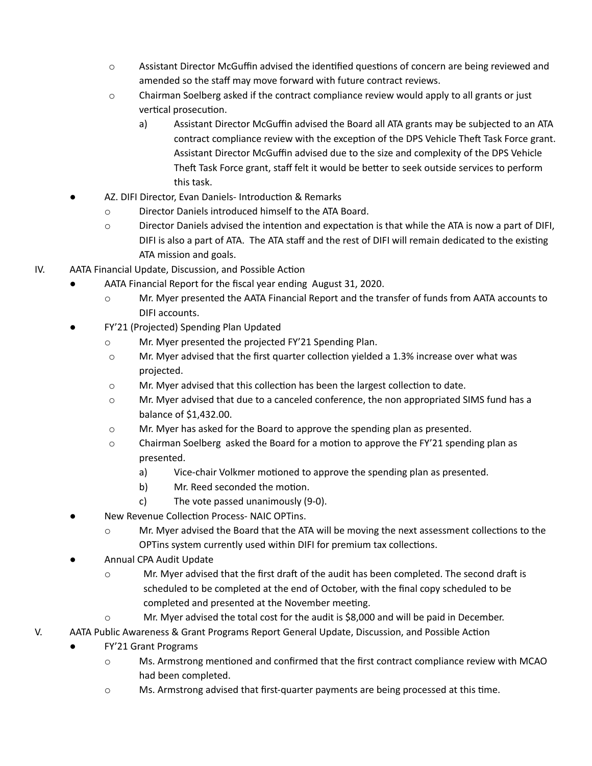- $\circ$  Assistant Director McGuffin advised the identified questions of concern are being reviewed and amended so the staff may move forward with future contract reviews.
- o Chairman Soelberg asked if the contract compliance review would apply to all grants or just vertical prosecution.
	- a) Assistant Director McGuffin advised the Board all ATA grants may be subjected to an ATA contract compliance review with the exception of the DPS Vehicle Theft Task Force grant. Assistant Director McGuffin advised due to the size and complexity of the DPS Vehicle Theft Task Force grant, staff felt it would be better to seek outside services to perform this task.
- AZ. DIFI Director, Evan Daniels- Introduction & Remarks
	- o Director Daniels introduced himself to the ATA Board.
	- $\circ$  Director Daniels advised the intention and expectation is that while the ATA is now a part of DIFI, DIFI is also a part of ATA. The ATA staff and the rest of DIFI will remain dedicated to the existing ATA mission and goals.
- IV. AATA Financial Update, Discussion, and Possible Action
	- AATA Financial Report for the fiscal year ending August 31, 2020.
		- o Mr. Myer presented the AATA Financial Report and the transfer of funds from AATA accounts to DIFI accounts.
	- FY'21 (Projected) Spending Plan Updated
		- o Mr. Myer presented the projected FY'21 Spending Plan.
		- $\circ$  Mr. Myer advised that the first quarter collection yielded a 1.3% increase over what was projected.
		- $\circ$  Mr. Myer advised that this collection has been the largest collection to date.
		- $\circ$  Mr. Myer advised that due to a canceled conference, the non appropriated SIMS fund has a balance of \$1,432.00.
		- o Mr. Myer has asked for the Board to approve the spending plan as presented.
		- $\circ$  Chairman Soelberg asked the Board for a motion to approve the FY'21 spending plan as presented.
			- a) Vice-chair Volkmer motioned to approve the spending plan as presented.
			- b) Mr. Reed seconded the motion.
			- c) The vote passed unanimously (9-0).
	- New Revenue Collection Process- NAIC OPTins.
		- $\circ$  Mr. Myer advised the Board that the ATA will be moving the next assessment collections to the OPTins system currently used within DIFI for premium tax collections.
	- Annual CPA Audit Update
		- $\circ$  Mr. Myer advised that the first draft of the audit has been completed. The second draft is scheduled to be completed at the end of October, with the final copy scheduled to be completed and presented at the November meeting.
		- o Mr. Myer advised the total cost for the audit is \$8,000 and will be paid in December.
- V. AATA Public Awareness & Grant Programs Report General Update, Discussion, and Possible Action
	- **FY'21 Grant Programs** 
		- $\circ$  Ms. Armstrong mentioned and confirmed that the first contract compliance review with MCAO had been completed.
		- $\circ$  Ms. Armstrong advised that first-quarter payments are being processed at this time.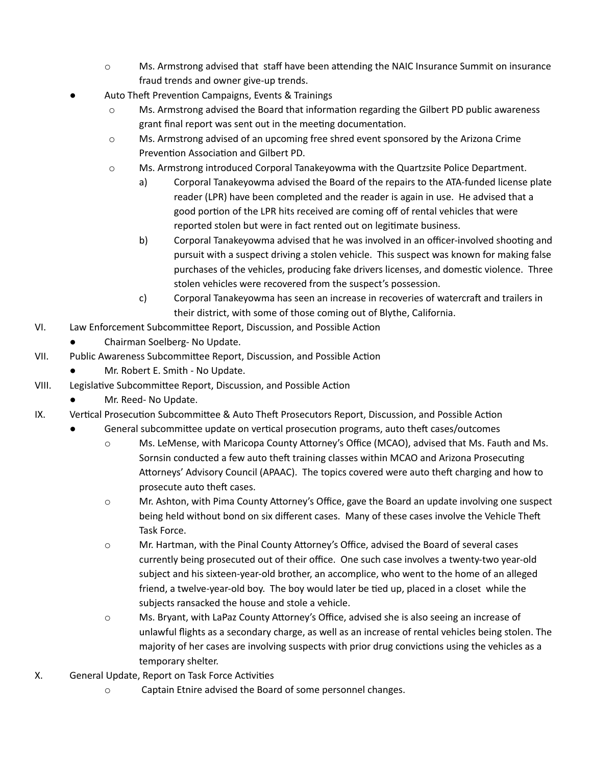- $\circ$  Ms. Armstrong advised that staff have been attending the NAIC Insurance Summit on insurance fraud trends and owner give-up trends.
- Auto Theft Prevention Campaigns, Events & Trainings
	- $\circ$  Ms. Armstrong advised the Board that information regarding the Gilbert PD public awareness grant final report was sent out in the meeting documentation.
	- o Ms. Armstrong advised of an upcoming free shred event sponsored by the Arizona Crime Prevention Association and Gilbert PD.
	- o Ms. Armstrong introduced Corporal Tanakeyowma with the Quartzsite Police Department.
		- a) Corporal Tanakeyowma advised the Board of the repairs to the ATA-funded license plate reader (LPR) have been completed and the reader is again in use. He advised that a good portion of the LPR hits received are coming off of rental vehicles that were reported stolen but were in fact rented out on legitimate business.
		- b) Corporal Tanakeyowma advised that he was involved in an officer-involved shooting and pursuit with a suspect driving a stolen vehicle. This suspect was known for making false purchases of the vehicles, producing fake drivers licenses, and domestic violence. Three stolen vehicles were recovered from the suspect's possession.
		- c) Corporal Tanakeyowma has seen an increase in recoveries of watercraft and trailers in their district, with some of those coming out of Blythe, California.
- VI. Law Enforcement Subcommittee Report, Discussion, and Possible Action
	- Chairman Soelberg- No Update.
- VII. Public Awareness Subcommittee Report, Discussion, and Possible Action
	- Mr. Robert E. Smith No Update.
- VIII. Legislative Subcommittee Report, Discussion, and Possible Action
	- Mr. Reed- No Update.
- IX. Vertical Prosecution Subcommittee & Auto Theft Prosecutors Report, Discussion, and Possible Action
	- General subcommittee update on vertical prosecution programs, auto theft cases/outcomes
		- $\circ$  Ms. LeMense, with Maricopa County Attorney's Office (MCAO), advised that Ms. Fauth and Ms. Sornsin conducted a few auto theft training classes within MCAO and Arizona Prosecuting Attorneys' Advisory Council (APAAC). The topics covered were auto theft charging and how to prosecute auto theft cases.
		- $\circ$  Mr. Ashton, with Pima County Attorney's Office, gave the Board an update involving one suspect being held without bond on six different cases. Many of these cases involve the Vehicle Theft Task Force.
		- $\circ$  Mr. Hartman, with the Pinal County Attorney's Office, advised the Board of several cases currently being prosecuted out of their office. One such case involves a twenty-two year-old subject and his sixteen-year-old brother, an accomplice, who went to the home of an alleged friend, a twelve-year-old boy. The boy would later be tied up, placed in a closet while the subjects ransacked the house and stole a vehicle.
		- $\circ$  Ms. Bryant, with LaPaz County Attorney's Office, advised she is also seeing an increase of unlawful flights as a secondary charge, as well as an increase of rental vehicles being stolen. The majority of her cases are involving suspects with prior drug convictions using the vehicles as a temporary shelter.
- X. General Update, Report on Task Force Activities
	- o Captain Etnire advised the Board of some personnel changes.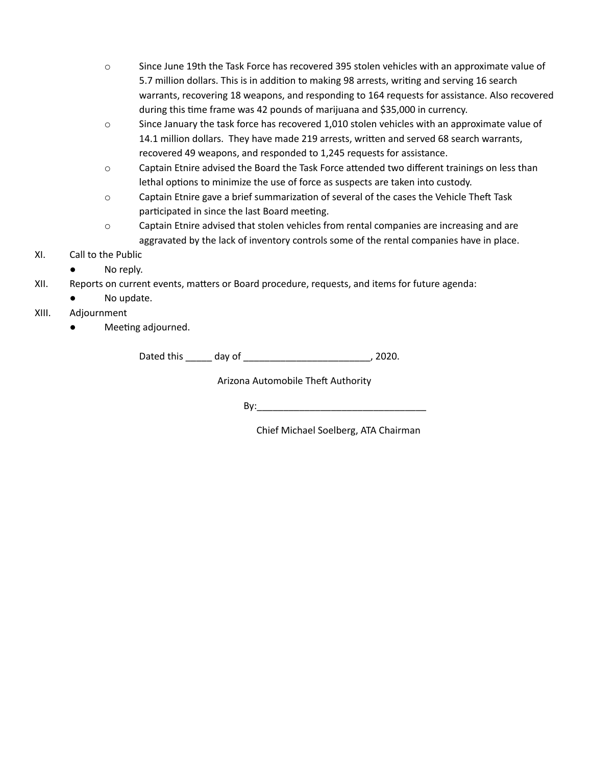- o Since June 19th the Task Force has recovered 395 stolen vehicles with an approximate value of 5.7 million dollars. This is in addition to making 98 arrests, writing and serving 16 search warrants, recovering 18 weapons, and responding to 164 requests for assistance. Also recovered during this time frame was 42 pounds of marijuana and \$35,000 in currency.
- $\circ$  Since January the task force has recovered 1,010 stolen vehicles with an approximate value of 14.1 million dollars. They have made 219 arrests, written and served 68 search warrants, recovered 49 weapons, and responded to 1,245 requests for assistance.
- $\circ$  Captain Etnire advised the Board the Task Force attended two different trainings on less than lethal options to minimize the use of force as suspects are taken into custody.
- o Captain Etnire gave a brief summarization of several of the cases the Vehicle Theft Task participated in since the last Board meeting.
- o Captain Etnire advised that stolen vehicles from rental companies are increasing and are aggravated by the lack of inventory controls some of the rental companies have in place.
- XI. Call to the Public
	- No reply.
- XII. Reports on current events, matters or Board procedure, requests, and items for future agenda:
	- No update.
- XIII. Adjournment
	- Meeting adjourned.

Dated this \_\_\_\_\_ day of \_\_\_\_\_\_\_\_\_\_\_\_\_\_\_\_\_\_\_\_\_\_\_\_\_\_, 2020.

Arizona Automobile Theft Authority

 $\mathsf{By:}$ 

Chief Michael Soelberg, ATA Chairman